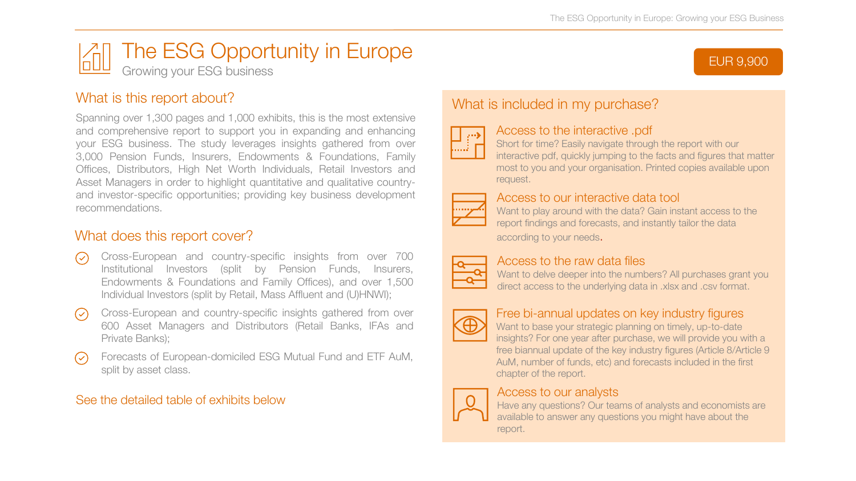EUR 9,900



## What is this report about?

Spanning over 1,300 pages and 1,000 exhibits, this is the most extensive and comprehensive report to support you in expanding and enhancing your ESG business. The study leverages insights gathered from over 3,000 Pension Funds, Insurers, Endowments & Foundations, Family Offices, Distributors, High Net Worth Individuals, Retail Investors and Asset Managers in order to highlight quantitative and qualitative countryand investor-specific opportunities; providing key business development recommendations.

## What does this report cover?

- Cross-European and country-specific insights from over 700  $\odot$ Institutional Investors (split by Pension Funds, Insurers, Endowments & Foundations and Family Offices), and over 1,500 Individual Investors (split by Retail, Mass Affluent and (U)HNWI);
- Cross-European and country-specific insights gathered from over  $(\vee)$ 600 Asset Managers and Distributors (Retail Banks, IFAs and Private Banks);
- Forecasts of European-domiciled ESG Mutual Fund and ETF AuM,  $\circledcirc$ split by asset class.

### See the detailed table of exhibits below

# What is included in my purchase?



#### Access to the interactive .pdf

Short for time? Easily navigate through the report with our interactive pdf, quickly jumping to the facts and figures that matter most to you and your organisation. Printed copies available upon request.



#### Access to our interactive data tool

Want to play around with the data? Gain instant access to the report findings and forecasts, and instantly tailor the data according to your needs.



## Access to the raw data files

Want to delve deeper into the numbers? All purchases grant you direct access to the underlying data in .xlsx and .csv format.



## Free bi-annual updates on key industry figures

Want to base your strategic planning on timely, up-to-date insights? For one year after purchase, we will provide you with a free biannual update of the key industry figures (Article 8/Article 9 AuM, number of funds, etc) and forecasts included in the first chapter of the report.



#### Access to our analysts

Have any questions? Our teams of analysts and economists are available to answer any questions you might have about the report.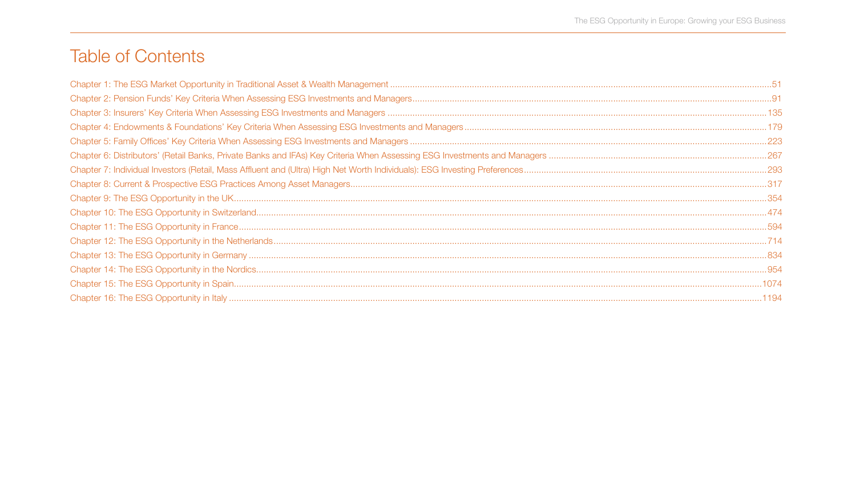# **Table of Contents**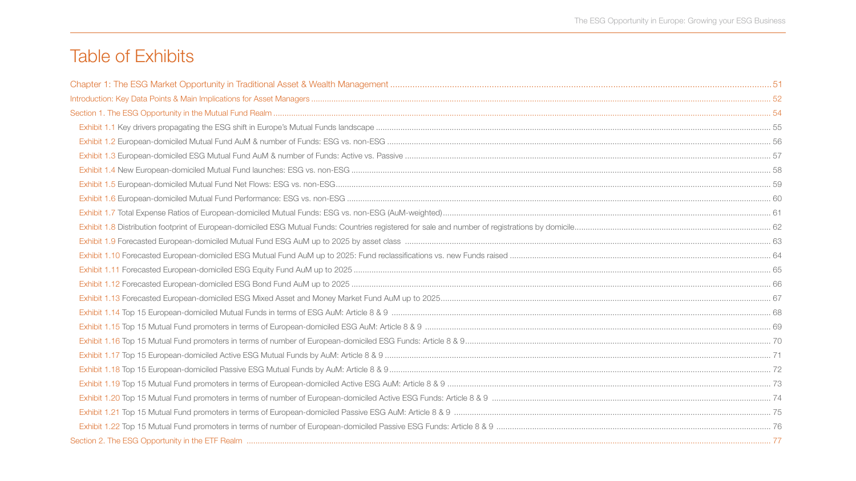# Table of Exhibits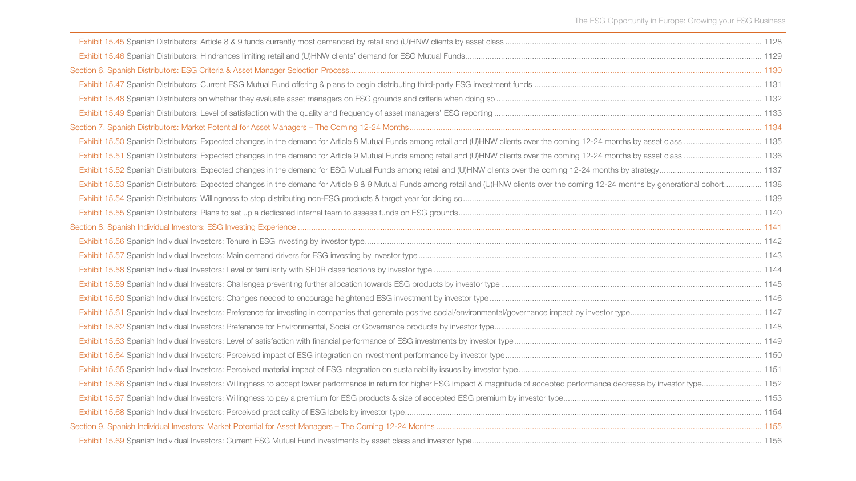| Exhibit 15.53 Spanish Distributors: Expected changes in the demand for Article 8 & 9 Mutual Funds among retail and (U)HNW clients over the coming 12-24 months by generational cohort 1138 |  |
|--------------------------------------------------------------------------------------------------------------------------------------------------------------------------------------------|--|
|                                                                                                                                                                                            |  |
|                                                                                                                                                                                            |  |
|                                                                                                                                                                                            |  |
|                                                                                                                                                                                            |  |
|                                                                                                                                                                                            |  |
|                                                                                                                                                                                            |  |
|                                                                                                                                                                                            |  |
|                                                                                                                                                                                            |  |
|                                                                                                                                                                                            |  |
|                                                                                                                                                                                            |  |
|                                                                                                                                                                                            |  |
|                                                                                                                                                                                            |  |
|                                                                                                                                                                                            |  |
|                                                                                                                                                                                            |  |
|                                                                                                                                                                                            |  |
|                                                                                                                                                                                            |  |
|                                                                                                                                                                                            |  |
|                                                                                                                                                                                            |  |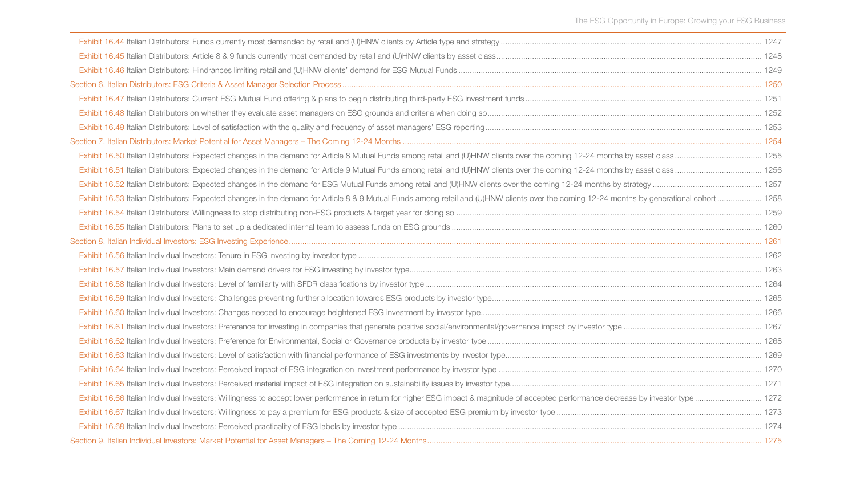| Exhibit 16.53 Italian Distributors: Expected changes in the demand for Article 8 & 9 Mutual Funds among retail and (U)HNW clients over the coming 12-24 months by generational cohort  1258 |  |
|---------------------------------------------------------------------------------------------------------------------------------------------------------------------------------------------|--|
|                                                                                                                                                                                             |  |
|                                                                                                                                                                                             |  |
|                                                                                                                                                                                             |  |
|                                                                                                                                                                                             |  |
|                                                                                                                                                                                             |  |
|                                                                                                                                                                                             |  |
|                                                                                                                                                                                             |  |
|                                                                                                                                                                                             |  |
|                                                                                                                                                                                             |  |
|                                                                                                                                                                                             |  |
|                                                                                                                                                                                             |  |
|                                                                                                                                                                                             |  |
|                                                                                                                                                                                             |  |
|                                                                                                                                                                                             |  |
|                                                                                                                                                                                             |  |
|                                                                                                                                                                                             |  |
|                                                                                                                                                                                             |  |